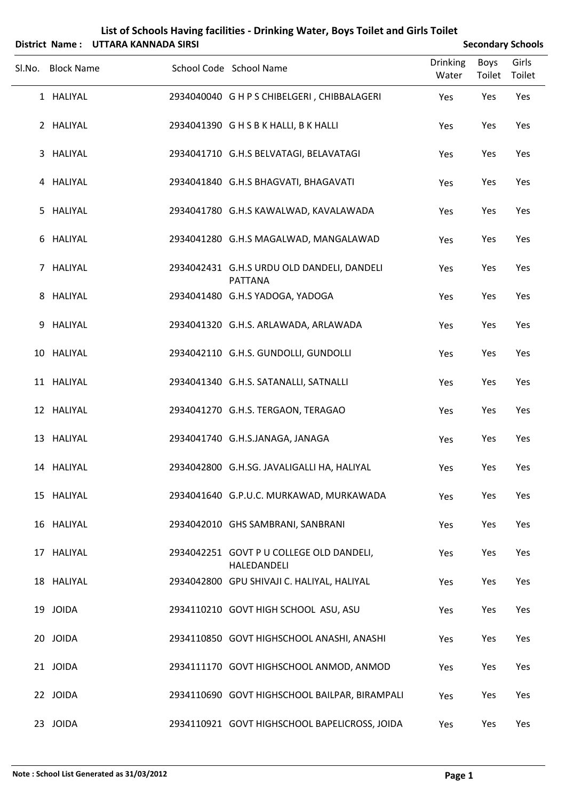|                |                   | District Name: UTTARA KANNADA SIRSI |                                                              |                          |                       | <b>Secondary Schools</b> |
|----------------|-------------------|-------------------------------------|--------------------------------------------------------------|--------------------------|-----------------------|--------------------------|
| SI.No.         | <b>Block Name</b> |                                     | School Code School Name                                      | <b>Drinking</b><br>Water | <b>Boys</b><br>Toilet | Girls<br>Toilet          |
|                | 1 HALIYAL         |                                     | 2934040040 G H P S CHIBELGERI, CHIBBALAGERI                  | Yes                      | Yes                   | Yes                      |
|                | 2 HALIYAL         |                                     | 2934041390 GHSBK HALLI, BK HALLI                             | Yes                      | Yes                   | Yes                      |
| 3              | HALIYAL           |                                     | 2934041710 G.H.S BELVATAGI, BELAVATAGI                       | Yes                      | Yes                   | Yes                      |
|                | 4 HALIYAL         |                                     | 2934041840 G.H.S BHAGVATI, BHAGAVATI                         | Yes                      | Yes                   | Yes                      |
| 5.             | HALIYAL           |                                     | 2934041780 G.H.S KAWALWAD, KAVALAWADA                        | Yes                      | Yes                   | Yes                      |
| 6              | HALIYAL           |                                     | 2934041280 G.H.S MAGALWAD, MANGALAWAD                        | Yes                      | Yes                   | Yes                      |
| $\overline{7}$ | HALIYAL           |                                     | 2934042431 G.H.S URDU OLD DANDELI, DANDELI<br><b>PATTANA</b> | Yes                      | Yes                   | Yes                      |
| 8              | HALIYAL           |                                     | 2934041480 G.H.S YADOGA, YADOGA                              | Yes                      | Yes                   | Yes                      |
| 9              | HALIYAL           |                                     | 2934041320 G.H.S. ARLAWADA, ARLAWADA                         | Yes                      | Yes                   | Yes                      |
|                | 10 HALIYAL        |                                     | 2934042110 G.H.S. GUNDOLLI, GUNDOLLI                         | Yes                      | Yes                   | Yes                      |
|                | 11 HALIYAL        |                                     | 2934041340 G.H.S. SATANALLI, SATNALLI                        | Yes                      | Yes                   | Yes                      |
|                | 12 HALIYAL        |                                     | 2934041270 G.H.S. TERGAON, TERAGAO                           | Yes                      | Yes                   | Yes                      |
|                | 13 HALIYAL        |                                     | 2934041740 G.H.S.JANAGA, JANAGA                              | Yes                      | Yes                   | Yes                      |
|                | 14 HALIYAL        |                                     | 2934042800 G.H.SG. JAVALIGALLI HA, HALIYAL                   | Yes                      | Yes                   | Yes                      |
|                | 15 HALIYAL        |                                     | 2934041640 G.P.U.C. MURKAWAD, MURKAWADA                      | Yes                      | Yes                   | Yes                      |
|                | 16 HALIYAL        |                                     | 2934042010 GHS SAMBRANI, SANBRANI                            | Yes                      | Yes                   | Yes                      |
|                | 17 HALIYAL        |                                     | 2934042251 GOVT P U COLLEGE OLD DANDELI,<br>HALEDANDELI      | Yes                      | Yes                   | Yes                      |
|                | 18 HALIYAL        |                                     | 2934042800 GPU SHIVAJI C. HALIYAL, HALIYAL                   | Yes                      | Yes                   | Yes                      |
|                | 19 JOIDA          |                                     | 2934110210 GOVT HIGH SCHOOL ASU, ASU                         | Yes                      | Yes                   | Yes                      |
|                | 20 JOIDA          |                                     | 2934110850 GOVT HIGHSCHOOL ANASHI, ANASHI                    | Yes                      | Yes                   | Yes                      |
|                | 21 JOIDA          |                                     | 2934111170 GOVT HIGHSCHOOL ANMOD, ANMOD                      | Yes                      | Yes                   | Yes                      |
|                | 22 JOIDA          |                                     | 2934110690 GOVT HIGHSCHOOL BAILPAR, BIRAMPALI                | Yes                      | Yes                   | Yes                      |
|                | 23 JOIDA          |                                     | 2934110921 GOVT HIGHSCHOOL BAPELICROSS, JOIDA                | Yes                      | Yes                   | Yes                      |

## **List of Schools Having facilities ‐ Drinking Water, Boys Toilet and Girls Toilet**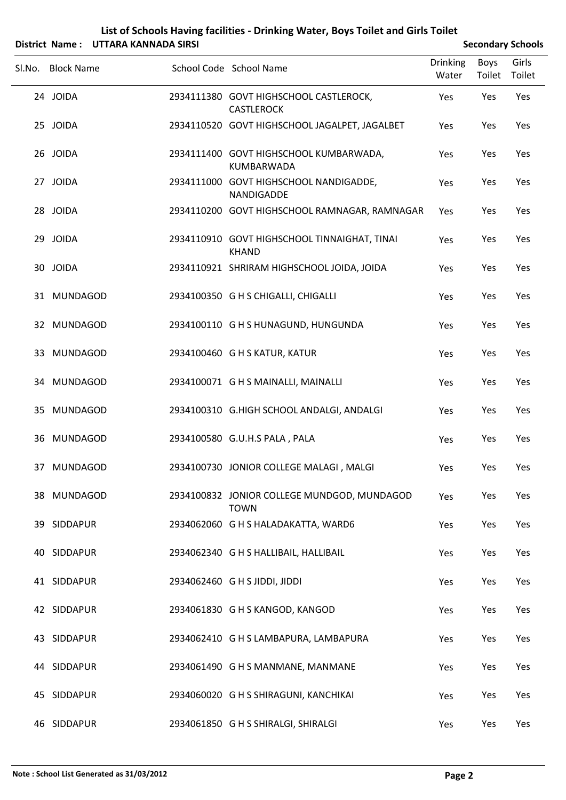| List of Schools Having facilities - Drinking Water, Boys Toilet and Girls Toilet |
|----------------------------------------------------------------------------------|
| $i$ striet, Names $\cdot$ , UTTADA I/ANNIADA CIDCL                               |

|                   | District Name: UTTARA KANNADA SIRSI |                                                              |                          |                | <b>Secondary Schools</b> |
|-------------------|-------------------------------------|--------------------------------------------------------------|--------------------------|----------------|--------------------------|
| Sl.No. Block Name |                                     | School Code School Name                                      | <b>Drinking</b><br>Water | Boys<br>Toilet | Girls<br>Toilet          |
| 24 JOIDA          |                                     | 2934111380 GOVT HIGHSCHOOL CASTLEROCK,<br><b>CASTLEROCK</b>  | Yes                      | Yes            | Yes                      |
| 25 JOIDA          |                                     | 2934110520 GOVT HIGHSCHOOL JAGALPET, JAGALBET                | Yes                      | Yes            | Yes                      |
| 26 JOIDA          |                                     | 2934111400 GOVT HIGHSCHOOL KUMBARWADA,<br><b>KUMBARWADA</b>  | Yes                      | Yes            | Yes                      |
| 27 JOIDA          |                                     | 2934111000 GOVT HIGHSCHOOL NANDIGADDE,<br>NANDIGADDE         | Yes                      | Yes            | Yes                      |
| 28 JOIDA          |                                     | 2934110200 GOVT HIGHSCHOOL RAMNAGAR, RAMNAGAR                | Yes                      | Yes            | Yes                      |
| 29 JOIDA          |                                     | 2934110910 GOVT HIGHSCHOOL TINNAIGHAT, TINAI<br><b>KHAND</b> | Yes                      | Yes            | Yes                      |
| 30 JOIDA          |                                     | 2934110921 SHRIRAM HIGHSCHOOL JOIDA, JOIDA                   | Yes                      | Yes            | Yes                      |
| 31 MUNDAGOD       |                                     | 2934100350 G H S CHIGALLI, CHIGALLI                          | Yes                      | Yes            | Yes                      |
| 32 MUNDAGOD       |                                     | 2934100110 G H S HUNAGUND, HUNGUNDA                          | Yes                      | Yes            | Yes                      |
| 33 MUNDAGOD       |                                     | 2934100460 G H S KATUR, KATUR                                | Yes                      | Yes            | Yes                      |
| 34 MUNDAGOD       |                                     | 2934100071 G H S MAINALLI, MAINALLI                          | Yes                      | Yes            | Yes                      |
| 35 MUNDAGOD       |                                     | 2934100310 G.HIGH SCHOOL ANDALGI, ANDALGI                    | Yes                      | Yes            | Yes                      |
| 36 MUNDAGOD       |                                     | 2934100580 G.U.H.S PALA, PALA                                | Yes                      | Yes            | Yes                      |
| 37 MUNDAGOD       |                                     | 2934100730 JONIOR COLLEGE MALAGI, MALGI                      | Yes                      | Yes            | Yes                      |
| 38 MUNDAGOD       |                                     | 2934100832 JONIOR COLLEGE MUNDGOD, MUNDAGOD<br><b>TOWN</b>   | Yes                      | Yes            | Yes                      |
| 39 SIDDAPUR       |                                     | 2934062060 G H S HALADAKATTA, WARD6                          | Yes                      | Yes            | Yes                      |
| 40 SIDDAPUR       |                                     | 2934062340 G H S HALLIBAIL, HALLIBAIL                        | Yes                      | Yes            | Yes                      |
| 41 SIDDAPUR       |                                     | 2934062460 G H S JIDDI, JIDDI                                | Yes                      | Yes            | Yes                      |
| 42 SIDDAPUR       |                                     | 2934061830 G H S KANGOD, KANGOD                              | Yes                      | Yes            | Yes                      |
| 43 SIDDAPUR       |                                     | 2934062410 G H S LAMBAPURA, LAMBAPURA                        | Yes                      | Yes            | Yes                      |
| 44 SIDDAPUR       |                                     | 2934061490 G H S MANMANE, MANMANE                            | Yes                      | Yes            | Yes                      |
| 45 SIDDAPUR       |                                     | 2934060020 G H S SHIRAGUNI, KANCHIKAI                        | Yes                      | Yes            | Yes                      |
| 46 SIDDAPUR       |                                     | 2934061850 G H S SHIRALGI, SHIRALGI                          | Yes                      | Yes            | Yes                      |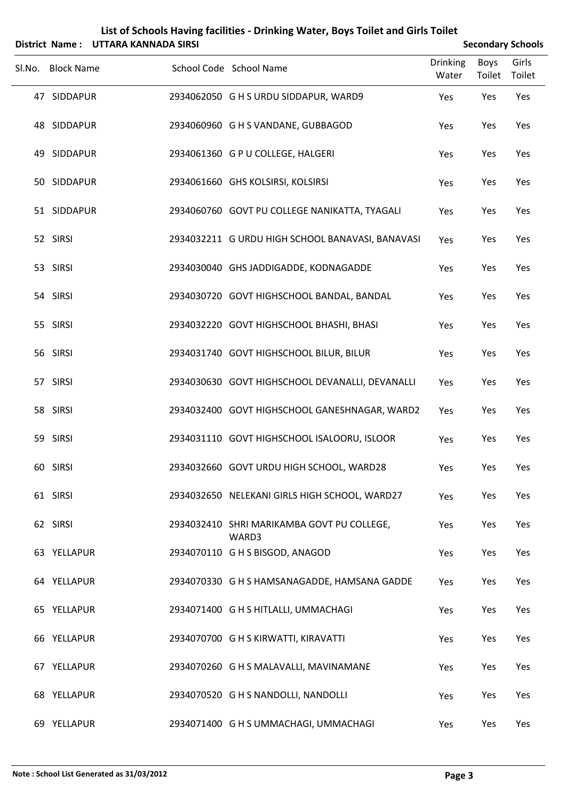|                   | District Name: UTTARA KANNADA SIRSI |                                                     |                   |                       | <b>Secondary Schools</b> |
|-------------------|-------------------------------------|-----------------------------------------------------|-------------------|-----------------------|--------------------------|
| Sl.No. Block Name |                                     | School Code School Name                             | Drinking<br>Water | <b>Boys</b><br>Toilet | Girls<br>Toilet          |
| 47 SIDDAPUR       |                                     | 2934062050 G H S URDU SIDDAPUR, WARD9               | Yes               | Yes                   | Yes                      |
| 48 SIDDAPUR       |                                     | 2934060960 G H S VANDANE, GUBBAGOD                  | Yes               | Yes                   | Yes                      |
| 49 SIDDAPUR       |                                     | 2934061360 G P U COLLEGE, HALGERI                   | Yes               | Yes                   | Yes                      |
| 50 SIDDAPUR       |                                     | 2934061660 GHS KOLSIRSI, KOLSIRSI                   | Yes               | Yes                   | Yes                      |
| 51 SIDDAPUR       |                                     | 2934060760 GOVT PU COLLEGE NANIKATTA, TYAGALI       | Yes               | Yes                   | Yes                      |
| 52 SIRSI          |                                     | 2934032211 G URDU HIGH SCHOOL BANAVASI, BANAVASI    | Yes               | Yes                   | Yes                      |
| 53 SIRSI          |                                     | 2934030040 GHS JADDIGADDE, KODNAGADDE               | Yes               | Yes                   | Yes                      |
| 54 SIRSI          |                                     | 2934030720 GOVT HIGHSCHOOL BANDAL, BANDAL           | Yes               | Yes                   | Yes                      |
| 55 SIRSI          |                                     | 2934032220 GOVT HIGHSCHOOL BHASHI, BHASI            | Yes               | Yes                   | Yes                      |
| 56 SIRSI          |                                     | 2934031740 GOVT HIGHSCHOOL BILUR, BILUR             | Yes               | Yes                   | Yes                      |
| 57 SIRSI          |                                     | 2934030630 GOVT HIGHSCHOOL DEVANALLI, DEVANALLI     | Yes               | Yes                   | Yes                      |
| 58 SIRSI          |                                     | 2934032400 GOVT HIGHSCHOOL GANESHNAGAR, WARD2       | Yes               | Yes                   | Yes                      |
| 59 SIRSI          |                                     | 2934031110 GOVT HIGHSCHOOL ISALOORU, ISLOOR         | Yes               | Yes                   | Yes                      |
| 60 SIRSI          |                                     | 2934032660 GOVT URDU HIGH SCHOOL, WARD28            | Yes               | Yes                   | Yes                      |
| 61 SIRSI          |                                     | 2934032650 NELEKANI GIRLS HIGH SCHOOL, WARD27       | Yes               | Yes                   | Yes                      |
| 62 SIRSI          |                                     | 2934032410 SHRI MARIKAMBA GOVT PU COLLEGE,<br>WARD3 | Yes               | Yes                   | Yes                      |
| 63 YELLAPUR       |                                     | 2934070110 G H S BISGOD, ANAGOD                     | Yes               | Yes                   | Yes                      |
| 64 YELLAPUR       |                                     | 2934070330 G H S HAMSANAGADDE, HAMSANA GADDE        | Yes               | Yes                   | Yes                      |
| 65 YELLAPUR       |                                     | 2934071400 G H S HITLALLI, UMMACHAGI                | Yes               | Yes                   | Yes                      |
| 66 YELLAPUR       |                                     | 2934070700 G H S KIRWATTI, KIRAVATTI                | Yes               | Yes                   | Yes                      |
| 67 YELLAPUR       |                                     | 2934070260 G H S MALAVALLI, MAVINAMANE              | Yes               | Yes                   | Yes                      |
| 68 YELLAPUR       |                                     | 2934070520 G H S NANDOLLI, NANDOLLI                 | Yes               | Yes                   | Yes                      |
| 69 YELLAPUR       |                                     | 2934071400 G H S UMMACHAGI, UMMACHAGI               | Yes               | Yes                   | Yes                      |

## **List of Schools Having facilities ‐ Drinking Water, Boys Toilet and Girls Toilet**